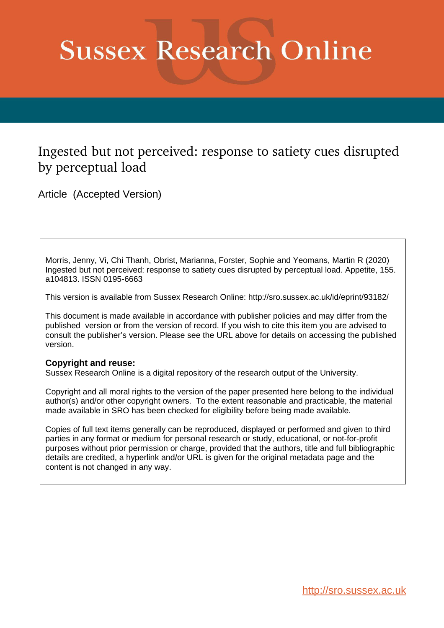# **Sussex Research Online**

# Ingested but not perceived: response to satiety cues disrupted by perceptual load

Article (Accepted Version)

Morris, Jenny, Vi, Chi Thanh, Obrist, Marianna, Forster, Sophie and Yeomans, Martin R (2020) Ingested but not perceived: response to satiety cues disrupted by perceptual load. Appetite, 155. a104813. ISSN 0195-6663

This version is available from Sussex Research Online: http://sro.sussex.ac.uk/id/eprint/93182/

This document is made available in accordance with publisher policies and may differ from the published version or from the version of record. If you wish to cite this item you are advised to consult the publisher's version. Please see the URL above for details on accessing the published version.

#### **Copyright and reuse:**

Sussex Research Online is a digital repository of the research output of the University.

Copyright and all moral rights to the version of the paper presented here belong to the individual author(s) and/or other copyright owners. To the extent reasonable and practicable, the material made available in SRO has been checked for eligibility before being made available.

Copies of full text items generally can be reproduced, displayed or performed and given to third parties in any format or medium for personal research or study, educational, or not-for-profit purposes without prior permission or charge, provided that the authors, title and full bibliographic details are credited, a hyperlink and/or URL is given for the original metadata page and the content is not changed in any way.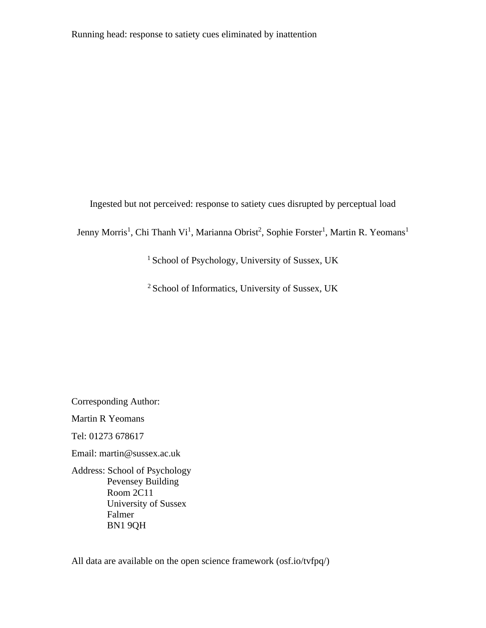Ingested but not perceived: response to satiety cues disrupted by perceptual load

Jenny Morris<sup>1</sup>, Chi Thanh Vi<sup>1</sup>, Marianna Obrist<sup>2</sup>, Sophie Forster<sup>1</sup>, Martin R. Yeomans<sup>1</sup>

<sup>1</sup> School of Psychology, University of Sussex, UK

<sup>2</sup> School of Informatics, University of Sussex, UK

Corresponding Author: Martin R Yeomans Tel: 01273 678617

Email: martin@sussex.ac.uk

Address: School of Psychology Pevensey Building Room 2C11 University of Sussex Falmer BN1 9QH

All data are available on the open science framework (osf.io/tvfpq/)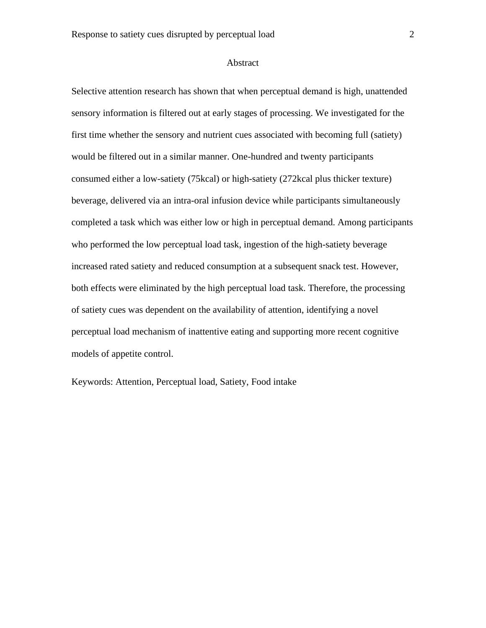#### Abstract

Selective attention research has shown that when perceptual demand is high, unattended sensory information is filtered out at early stages of processing. We investigated for the first time whether the sensory and nutrient cues associated with becoming full (satiety) would be filtered out in a similar manner. One-hundred and twenty participants consumed either a low-satiety (75kcal) or high-satiety (272kcal plus thicker texture) beverage, delivered via an intra-oral infusion device while participants simultaneously completed a task which was either low or high in perceptual demand. Among participants who performed the low perceptual load task, ingestion of the high-satiety beverage increased rated satiety and reduced consumption at a subsequent snack test. However, both effects were eliminated by the high perceptual load task. Therefore, the processing of satiety cues was dependent on the availability of attention, identifying a novel perceptual load mechanism of inattentive eating and supporting more recent cognitive models of appetite control.

Keywords: Attention, Perceptual load, Satiety, Food intake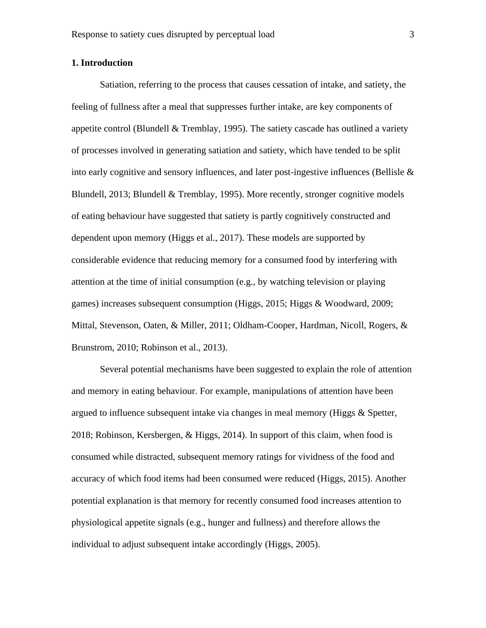#### **1. Introduction**

Satiation, referring to the process that causes cessation of intake, and satiety, the feeling of fullness after a meal that suppresses further intake, are key components of appetite control (Blundell & Tremblay, 1995). The satiety cascade has outlined a variety of processes involved in generating satiation and satiety, which have tended to be split into early cognitive and sensory influences, and later post-ingestive influences (Bellisle  $\&$ Blundell, 2013; Blundell & Tremblay, 1995). More recently, stronger cognitive models of eating behaviour have suggested that satiety is partly cognitively constructed and dependent upon memory (Higgs et al., 2017). These models are supported by considerable evidence that reducing memory for a consumed food by interfering with attention at the time of initial consumption (e.g., by watching television or playing games) increases subsequent consumption (Higgs, 2015; Higgs & Woodward, 2009; Mittal, Stevenson, Oaten, & Miller, 2011; Oldham-Cooper, Hardman, Nicoll, Rogers, & Brunstrom, 2010; Robinson et al., 2013).

Several potential mechanisms have been suggested to explain the role of attention and memory in eating behaviour. For example, manipulations of attention have been argued to influence subsequent intake via changes in meal memory (Higgs & Spetter, 2018; Robinson, Kersbergen, & Higgs, 2014). In support of this claim, when food is consumed while distracted, subsequent memory ratings for vividness of the food and accuracy of which food items had been consumed were reduced (Higgs, 2015). Another potential explanation is that memory for recently consumed food increases attention to physiological appetite signals (e.g., hunger and fullness) and therefore allows the individual to adjust subsequent intake accordingly (Higgs, 2005).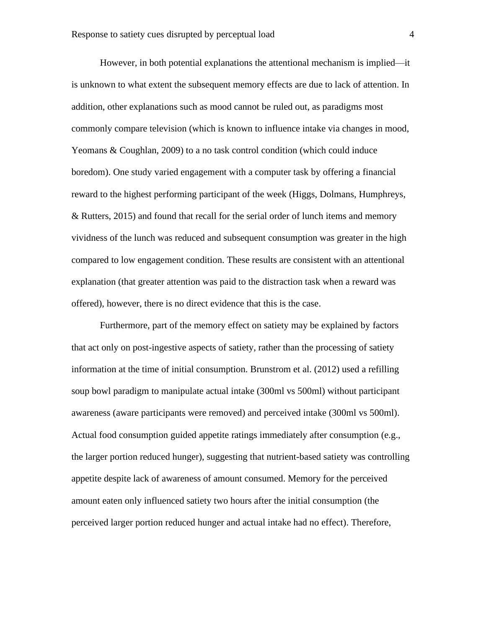However, in both potential explanations the attentional mechanism is implied—it is unknown to what extent the subsequent memory effects are due to lack of attention. In addition, other explanations such as mood cannot be ruled out, as paradigms most commonly compare television (which is known to influence intake via changes in mood, Yeomans & Coughlan, 2009) to a no task control condition (which could induce boredom). One study varied engagement with a computer task by offering a financial reward to the highest performing participant of the week (Higgs, Dolmans, Humphreys, & Rutters, 2015) and found that recall for the serial order of lunch items and memory vividness of the lunch was reduced and subsequent consumption was greater in the high compared to low engagement condition. These results are consistent with an attentional explanation (that greater attention was paid to the distraction task when a reward was offered), however, there is no direct evidence that this is the case.

Furthermore, part of the memory effect on satiety may be explained by factors that act only on post-ingestive aspects of satiety, rather than the processing of satiety information at the time of initial consumption. Brunstrom et al. (2012) used a refilling soup bowl paradigm to manipulate actual intake (300ml vs 500ml) without participant awareness (aware participants were removed) and perceived intake (300ml vs 500ml). Actual food consumption guided appetite ratings immediately after consumption (e.g., the larger portion reduced hunger), suggesting that nutrient-based satiety was controlling appetite despite lack of awareness of amount consumed. Memory for the perceived amount eaten only influenced satiety two hours after the initial consumption (the perceived larger portion reduced hunger and actual intake had no effect). Therefore,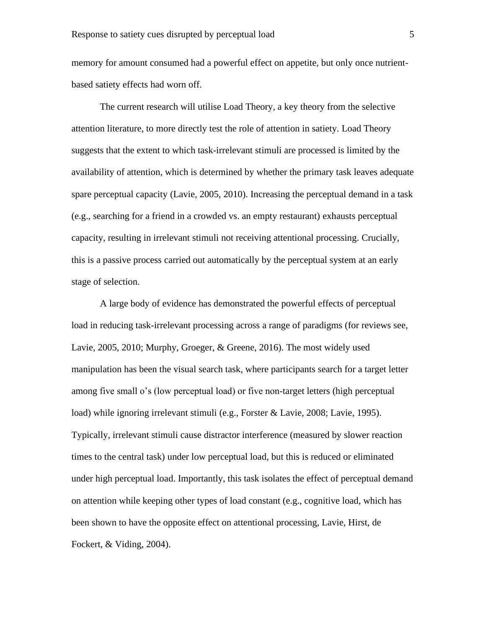memory for amount consumed had a powerful effect on appetite, but only once nutrientbased satiety effects had worn off.

The current research will utilise Load Theory, a key theory from the selective attention literature, to more directly test the role of attention in satiety. Load Theory suggests that the extent to which task-irrelevant stimuli are processed is limited by the availability of attention, which is determined by whether the primary task leaves adequate spare perceptual capacity (Lavie, 2005, 2010). Increasing the perceptual demand in a task (e.g., searching for a friend in a crowded vs. an empty restaurant) exhausts perceptual capacity, resulting in irrelevant stimuli not receiving attentional processing. Crucially, this is a passive process carried out automatically by the perceptual system at an early stage of selection.

A large body of evidence has demonstrated the powerful effects of perceptual load in reducing task-irrelevant processing across a range of paradigms (for reviews see, Lavie, 2005, 2010; Murphy, Groeger, & Greene, 2016). The most widely used manipulation has been the visual search task, where participants search for a target letter among five small o's (low perceptual load) or five non-target letters (high perceptual load) while ignoring irrelevant stimuli (e.g., Forster & Lavie, 2008; Lavie, 1995). Typically, irrelevant stimuli cause distractor interference (measured by slower reaction times to the central task) under low perceptual load, but this is reduced or eliminated under high perceptual load. Importantly, this task isolates the effect of perceptual demand on attention while keeping other types of load constant (e.g., cognitive load, which has been shown to have the opposite effect on attentional processing, Lavie, Hirst, de Fockert, & Viding, 2004).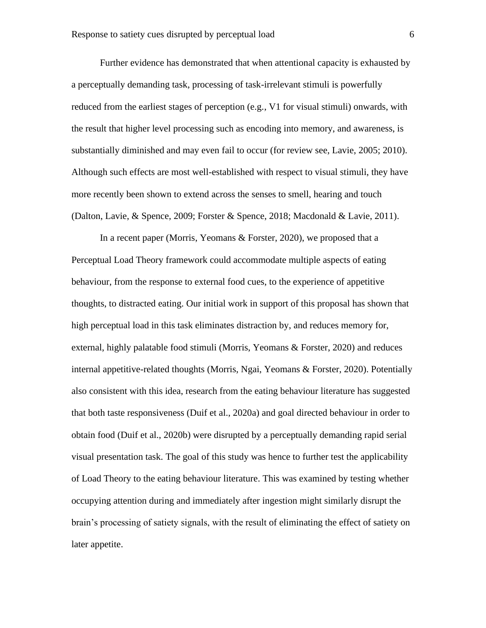Further evidence has demonstrated that when attentional capacity is exhausted by a perceptually demanding task, processing of task-irrelevant stimuli is powerfully reduced from the earliest stages of perception (e.g., V1 for visual stimuli) onwards, with the result that higher level processing such as encoding into memory, and awareness, is substantially diminished and may even fail to occur (for review see, Lavie, 2005; 2010). Although such effects are most well-established with respect to visual stimuli, they have more recently been shown to extend across the senses to smell, hearing and touch (Dalton, Lavie, & Spence, 2009; Forster & Spence, 2018; Macdonald & Lavie, 2011).

In a recent paper (Morris, Yeomans & Forster, 2020), we proposed that a Perceptual Load Theory framework could accommodate multiple aspects of eating behaviour, from the response to external food cues, to the experience of appetitive thoughts, to distracted eating. Our initial work in support of this proposal has shown that high perceptual load in this task eliminates distraction by, and reduces memory for, external, highly palatable food stimuli (Morris, Yeomans & Forster, 2020) and reduces internal appetitive-related thoughts (Morris, Ngai, Yeomans & Forster, 2020). Potentially also consistent with this idea, research from the eating behaviour literature has suggested that both taste responsiveness (Duif et al., 2020a) and goal directed behaviour in order to obtain food (Duif et al., 2020b) were disrupted by a perceptually demanding rapid serial visual presentation task. The goal of this study was hence to further test the applicability of Load Theory to the eating behaviour literature. This was examined by testing whether occupying attention during and immediately after ingestion might similarly disrupt the brain's processing of satiety signals, with the result of eliminating the effect of satiety on later appetite.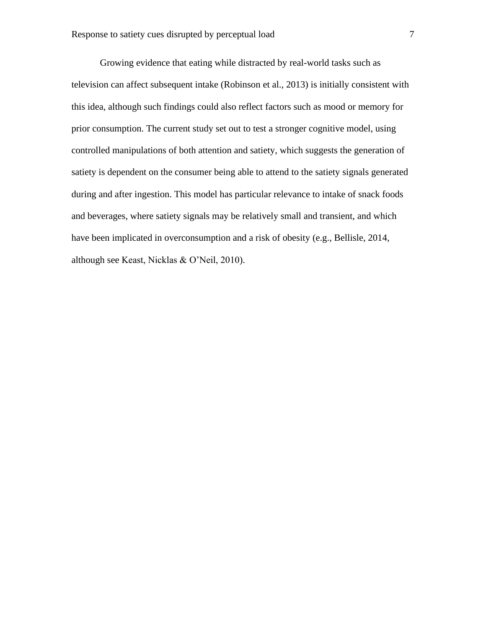Growing evidence that eating while distracted by real-world tasks such as television can affect subsequent intake (Robinson et al., 2013) is initially consistent with this idea, although such findings could also reflect factors such as mood or memory for prior consumption. The current study set out to test a stronger cognitive model, using controlled manipulations of both attention and satiety, which suggests the generation of satiety is dependent on the consumer being able to attend to the satiety signals generated during and after ingestion. This model has particular relevance to intake of snack foods and beverages, where satiety signals may be relatively small and transient, and which have been implicated in overconsumption and a risk of obesity (e.g., Bellisle, 2014, although see Keast, Nicklas & O'Neil, 2010).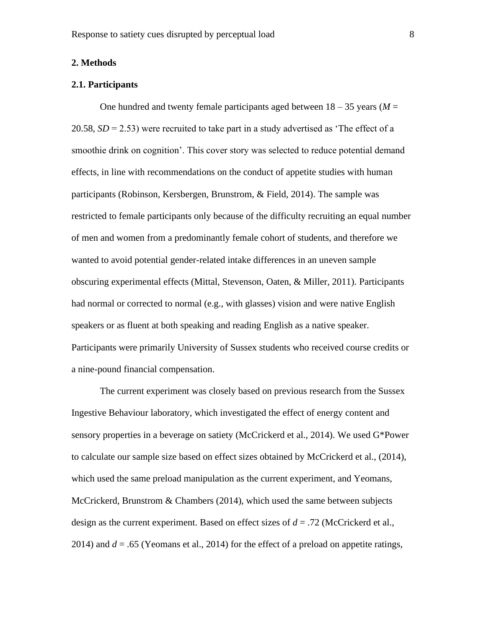#### **2. Methods**

#### **2.1. Participants**

One hundred and twenty female participants aged between  $18 - 35$  years ( $M =$ 20.58, *SD* = 2.53) were recruited to take part in a study advertised as 'The effect of a smoothie drink on cognition'. This cover story was selected to reduce potential demand effects, in line with recommendations on the conduct of appetite studies with human participants (Robinson, Kersbergen, Brunstrom, & Field, 2014). The sample was restricted to female participants only because of the difficulty recruiting an equal number of men and women from a predominantly female cohort of students, and therefore we wanted to avoid potential gender-related intake differences in an uneven sample obscuring experimental effects (Mittal, Stevenson, Oaten, & Miller, 2011). Participants had normal or corrected to normal (e.g., with glasses) vision and were native English speakers or as fluent at both speaking and reading English as a native speaker. Participants were primarily University of Sussex students who received course credits or a nine-pound financial compensation.

The current experiment was closely based on previous research from the Sussex Ingestive Behaviour laboratory, which investigated the effect of energy content and sensory properties in a beverage on satiety (McCrickerd et al., 2014). We used G\*Power to calculate our sample size based on effect sizes obtained by McCrickerd et al., (2014), which used the same preload manipulation as the current experiment, and Yeomans, McCrickerd, Brunstrom  $\&$  Chambers (2014), which used the same between subjects design as the current experiment. Based on effect sizes of *d* = .72 (McCrickerd et al., 2014) and *d* = .65 (Yeomans et al., 2014) for the effect of a preload on appetite ratings,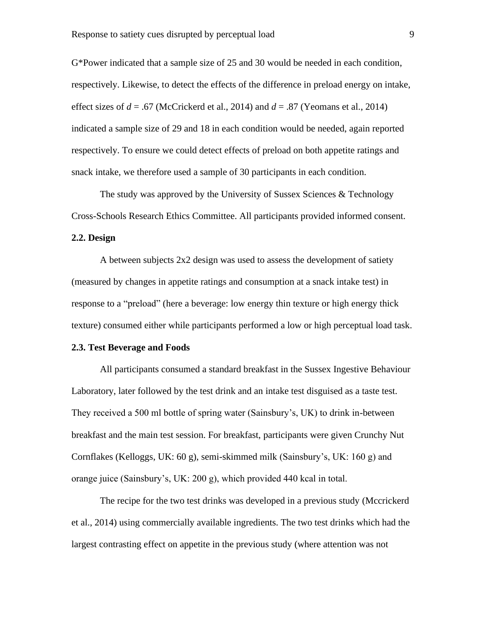G\*Power indicated that a sample size of 25 and 30 would be needed in each condition, respectively. Likewise, to detect the effects of the difference in preload energy on intake, effect sizes of  $d = .67$  (McCrickerd et al., 2014) and  $d = .87$  (Yeomans et al., 2014) indicated a sample size of 29 and 18 in each condition would be needed, again reported respectively. To ensure we could detect effects of preload on both appetite ratings and snack intake, we therefore used a sample of 30 participants in each condition.

The study was approved by the University of Sussex Sciences & Technology Cross-Schools Research Ethics Committee. All participants provided informed consent.

#### **2.2. Design**

A between subjects 2x2 design was used to assess the development of satiety (measured by changes in appetite ratings and consumption at a snack intake test) in response to a "preload" (here a beverage: low energy thin texture or high energy thick texture) consumed either while participants performed a low or high perceptual load task.

#### **2.3. Test Beverage and Foods**

All participants consumed a standard breakfast in the Sussex Ingestive Behaviour Laboratory, later followed by the test drink and an intake test disguised as a taste test. They received a 500 ml bottle of spring water (Sainsbury's, UK) to drink in-between breakfast and the main test session. For breakfast, participants were given Crunchy Nut Cornflakes (Kelloggs, UK: 60 g), semi-skimmed milk (Sainsbury's, UK: 160 g) and orange juice (Sainsbury's, UK: 200 g), which provided 440 kcal in total.

The recipe for the two test drinks was developed in a previous study (Mccrickerd et al., 2014) using commercially available ingredients. The two test drinks which had the largest contrasting effect on appetite in the previous study (where attention was not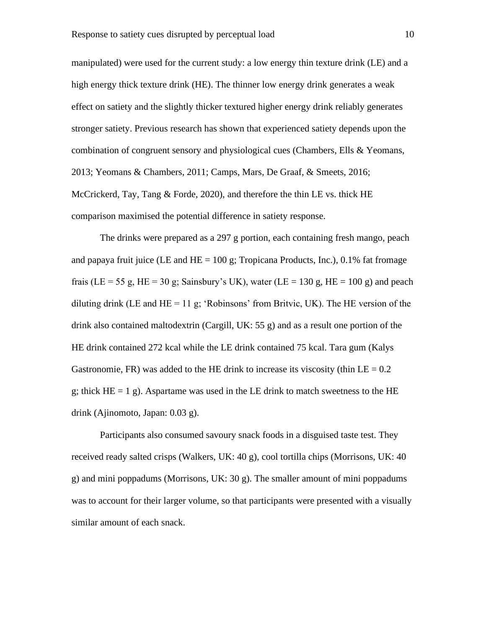manipulated) were used for the current study: a low energy thin texture drink (LE) and a high energy thick texture drink (HE). The thinner low energy drink generates a weak effect on satiety and the slightly thicker textured higher energy drink reliably generates stronger satiety. Previous research has shown that experienced satiety depends upon the combination of congruent sensory and physiological cues (Chambers, Ells & Yeomans, 2013; Yeomans & Chambers, 2011; Camps, Mars, De Graaf, & Smeets, 2016; McCrickerd, Tay, Tang  $\&$  Forde, 2020), and therefore the thin LE vs. thick HE comparison maximised the potential difference in satiety response.

The drinks were prepared as a 297 g portion, each containing fresh mango, peach and papaya fruit juice (LE and  $HE = 100$  g; Tropicana Products, Inc.), 0.1% fat fromage frais (LE = 55 g, HE = 30 g; Sainsbury's UK), water (LE = 130 g, HE = 100 g) and peach diluting drink (LE and  $HE = 11$  g; 'Robinsons' from Britvic, UK). The HE version of the drink also contained maltodextrin (Cargill, UK: 55 g) and as a result one portion of the HE drink contained 272 kcal while the LE drink contained 75 kcal. Tara gum (Kalys Gastronomie, FR) was added to the HE drink to increase its viscosity (thin  $LE = 0.2$ ) g; thick  $HE = 1$  g). Aspartame was used in the LE drink to match sweetness to the HE drink (Ajinomoto, Japan: 0.03 g).

Participants also consumed savoury snack foods in a disguised taste test. They received ready salted crisps (Walkers, UK: 40 g), cool tortilla chips (Morrisons, UK: 40 g) and mini poppadums (Morrisons, UK: 30 g). The smaller amount of mini poppadums was to account for their larger volume, so that participants were presented with a visually similar amount of each snack.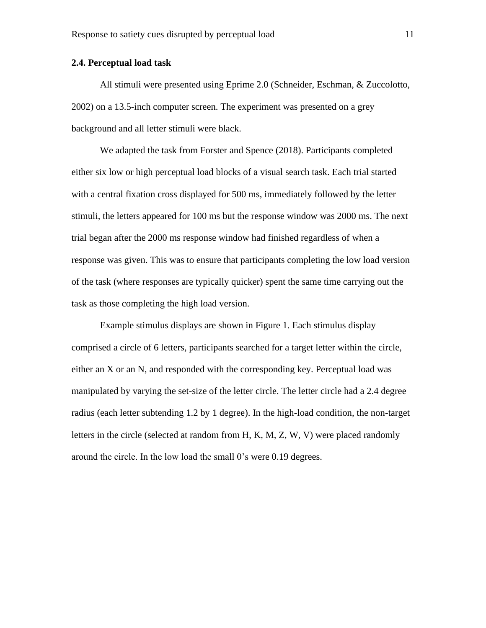#### **2.4. Perceptual load task**

All stimuli were presented using Eprime 2.0 (Schneider, Eschman, & Zuccolotto, 2002) on a 13.5-inch computer screen. The experiment was presented on a grey background and all letter stimuli were black.

We adapted the task from Forster and Spence (2018). Participants completed either six low or high perceptual load blocks of a visual search task. Each trial started with a central fixation cross displayed for 500 ms, immediately followed by the letter stimuli, the letters appeared for 100 ms but the response window was 2000 ms. The next trial began after the 2000 ms response window had finished regardless of when a response was given. This was to ensure that participants completing the low load version of the task (where responses are typically quicker) spent the same time carrying out the task as those completing the high load version.

Example stimulus displays are shown in Figure 1. Each stimulus display comprised a circle of 6 letters, participants searched for a target letter within the circle, either an X or an N, and responded with the corresponding key. Perceptual load was manipulated by varying the set-size of the letter circle. The letter circle had a 2.4 degree radius (each letter subtending 1.2 by 1 degree). In the high-load condition, the non-target letters in the circle (selected at random from H, K, M, Z, W, V) were placed randomly around the circle. In the low load the small 0's were 0.19 degrees.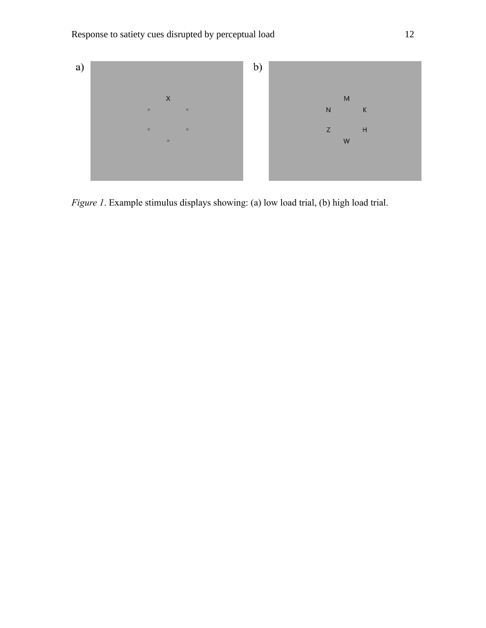

*Figure 1*. Example stimulus displays showing: (a) low load trial, (b) high load trial.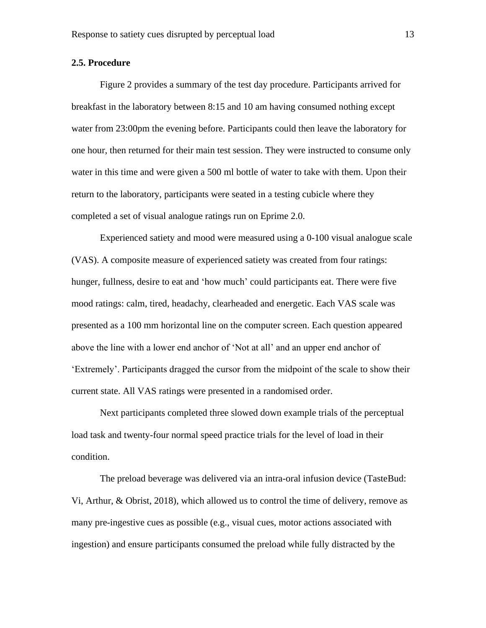#### **2.5. Procedure**

Figure 2 provides a summary of the test day procedure. Participants arrived for breakfast in the laboratory between 8:15 and 10 am having consumed nothing except water from 23:00pm the evening before. Participants could then leave the laboratory for one hour, then returned for their main test session. They were instructed to consume only water in this time and were given a 500 ml bottle of water to take with them. Upon their return to the laboratory, participants were seated in a testing cubicle where they completed a set of visual analogue ratings run on Eprime 2.0.

Experienced satiety and mood were measured using a 0-100 visual analogue scale (VAS). A composite measure of experienced satiety was created from four ratings: hunger, fullness, desire to eat and 'how much' could participants eat. There were five mood ratings: calm, tired, headachy, clearheaded and energetic. Each VAS scale was presented as a 100 mm horizontal line on the computer screen. Each question appeared above the line with a lower end anchor of 'Not at all' and an upper end anchor of 'Extremely'. Participants dragged the cursor from the midpoint of the scale to show their current state. All VAS ratings were presented in a randomised order.

Next participants completed three slowed down example trials of the perceptual load task and twenty-four normal speed practice trials for the level of load in their condition.

The preload beverage was delivered via an intra-oral infusion device (TasteBud: Vi, Arthur, & Obrist, 2018), which allowed us to control the time of delivery, remove as many pre-ingestive cues as possible (e.g., visual cues, motor actions associated with ingestion) and ensure participants consumed the preload while fully distracted by the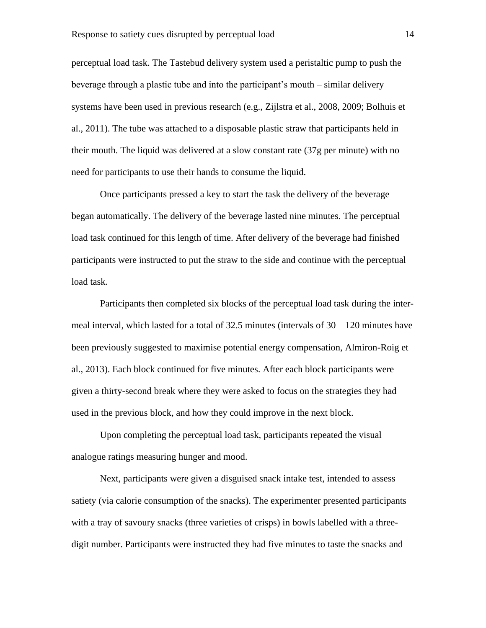perceptual load task. The Tastebud delivery system used a peristaltic pump to push the beverage through a plastic tube and into the participant's mouth – similar delivery systems have been used in previous research (e.g., Zijlstra et al., 2008, 2009; Bolhuis et al., 2011). The tube was attached to a disposable plastic straw that participants held in their mouth. The liquid was delivered at a slow constant rate (37g per minute) with no need for participants to use their hands to consume the liquid.

Once participants pressed a key to start the task the delivery of the beverage began automatically. The delivery of the beverage lasted nine minutes. The perceptual load task continued for this length of time. After delivery of the beverage had finished participants were instructed to put the straw to the side and continue with the perceptual load task.

Participants then completed six blocks of the perceptual load task during the intermeal interval, which lasted for a total of  $32.5$  minutes (intervals of  $30 - 120$  minutes have been previously suggested to maximise potential energy compensation, Almiron-Roig et al., 2013). Each block continued for five minutes. After each block participants were given a thirty-second break where they were asked to focus on the strategies they had used in the previous block, and how they could improve in the next block.

Upon completing the perceptual load task, participants repeated the visual analogue ratings measuring hunger and mood.

Next, participants were given a disguised snack intake test, intended to assess satiety (via calorie consumption of the snacks). The experimenter presented participants with a tray of savoury snacks (three varieties of crisps) in bowls labelled with a threedigit number. Participants were instructed they had five minutes to taste the snacks and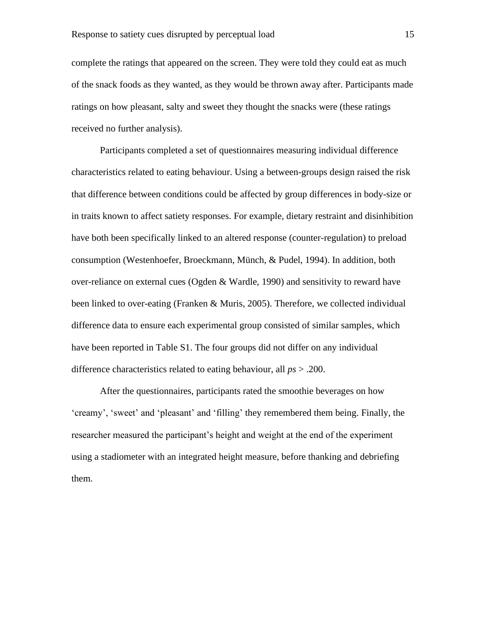complete the ratings that appeared on the screen. They were told they could eat as much of the snack foods as they wanted, as they would be thrown away after. Participants made ratings on how pleasant, salty and sweet they thought the snacks were (these ratings received no further analysis).

Participants completed a set of questionnaires measuring individual difference characteristics related to eating behaviour. Using a between-groups design raised the risk that difference between conditions could be affected by group differences in body-size or in traits known to affect satiety responses. For example, dietary restraint and disinhibition have both been specifically linked to an altered response (counter-regulation) to preload consumption (Westenhoefer, Broeckmann, Münch, & Pudel, 1994). In addition, both over-reliance on external cues (Ogden & Wardle, 1990) and sensitivity to reward have been linked to over-eating (Franken & Muris, 2005). Therefore, we collected individual difference data to ensure each experimental group consisted of similar samples, which have been reported in Table S1. The four groups did not differ on any individual difference characteristics related to eating behaviour, all *ps* > .200.

After the questionnaires, participants rated the smoothie beverages on how 'creamy', 'sweet' and 'pleasant' and 'filling' they remembered them being. Finally, the researcher measured the participant's height and weight at the end of the experiment using a stadiometer with an integrated height measure, before thanking and debriefing them.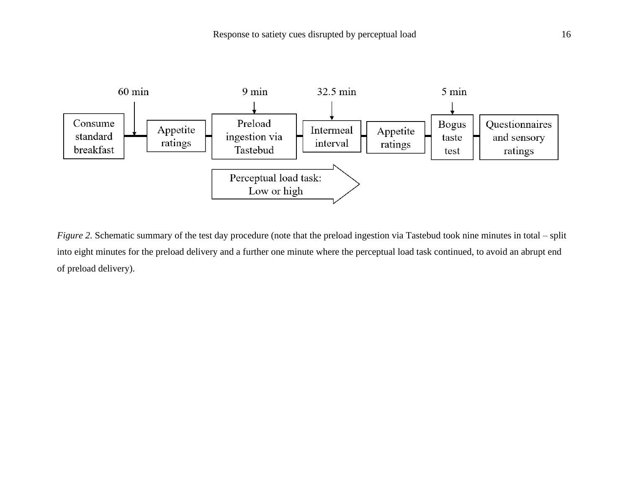

*Figure 2.* Schematic summary of the test day procedure (note that the preload ingestion via Tastebud took nine minutes in total – split into eight minutes for the preload delivery and a further one minute where the perceptual load task continued, to avoid an abrupt end of preload delivery).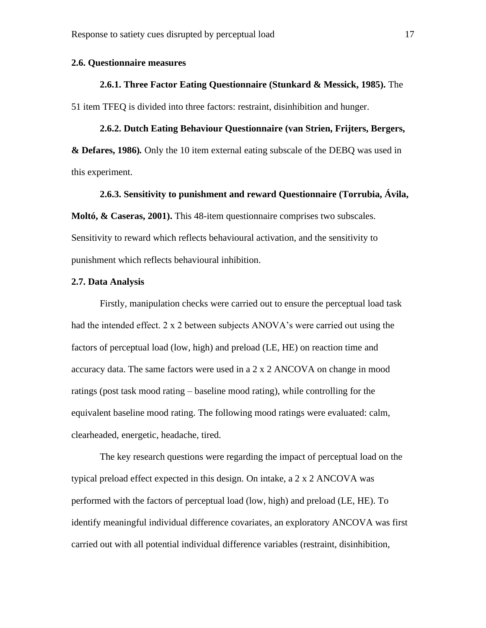#### **2.6. Questionnaire measures**

#### **2.6.1. Three Factor Eating Questionnaire (Stunkard & Messick, 1985).** The

51 item TFEQ is divided into three factors: restraint, disinhibition and hunger.

#### **2.6.2. Dutch Eating Behaviour Questionnaire (van Strien, Frijters, Bergers,**

**& Defares, 1986)***.* Only the 10 item external eating subscale of the DEBQ was used in this experiment.

#### **2.6.3. Sensitivity to punishment and reward Questionnaire (Torrubia, Ávila,**

**Moltó, & Caseras, 2001).** This 48-item questionnaire comprises two subscales. Sensitivity to reward which reflects behavioural activation, and the sensitivity to punishment which reflects behavioural inhibition.

#### **2.7. Data Analysis**

Firstly, manipulation checks were carried out to ensure the perceptual load task had the intended effect. 2 x 2 between subjects ANOVA's were carried out using the factors of perceptual load (low, high) and preload (LE, HE) on reaction time and accuracy data. The same factors were used in a 2 x 2 ANCOVA on change in mood ratings (post task mood rating – baseline mood rating), while controlling for the equivalent baseline mood rating. The following mood ratings were evaluated: calm, clearheaded, energetic, headache, tired.

The key research questions were regarding the impact of perceptual load on the typical preload effect expected in this design. On intake, a 2 x 2 ANCOVA was performed with the factors of perceptual load (low, high) and preload (LE, HE). To identify meaningful individual difference covariates, an exploratory ANCOVA was first carried out with all potential individual difference variables (restraint, disinhibition,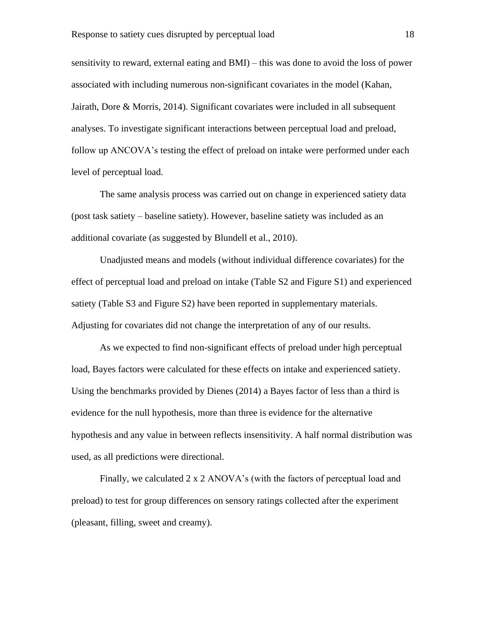sensitivity to reward, external eating and BMI) – this was done to avoid the loss of power associated with including numerous non-significant covariates in the model (Kahan, Jairath, Dore & Morris, 2014). Significant covariates were included in all subsequent analyses. To investigate significant interactions between perceptual load and preload, follow up ANCOVA's testing the effect of preload on intake were performed under each level of perceptual load.

The same analysis process was carried out on change in experienced satiety data (post task satiety – baseline satiety). However, baseline satiety was included as an additional covariate (as suggested by Blundell et al., 2010).

Unadjusted means and models (without individual difference covariates) for the effect of perceptual load and preload on intake (Table S2 and Figure S1) and experienced satiety (Table S3 and Figure S2) have been reported in supplementary materials. Adjusting for covariates did not change the interpretation of any of our results.

As we expected to find non-significant effects of preload under high perceptual load, Bayes factors were calculated for these effects on intake and experienced satiety. Using the benchmarks provided by Dienes (2014) a Bayes factor of less than a third is evidence for the null hypothesis, more than three is evidence for the alternative hypothesis and any value in between reflects insensitivity. A half normal distribution was used, as all predictions were directional.

Finally, we calculated 2 x 2 ANOVA's (with the factors of perceptual load and preload) to test for group differences on sensory ratings collected after the experiment (pleasant, filling, sweet and creamy).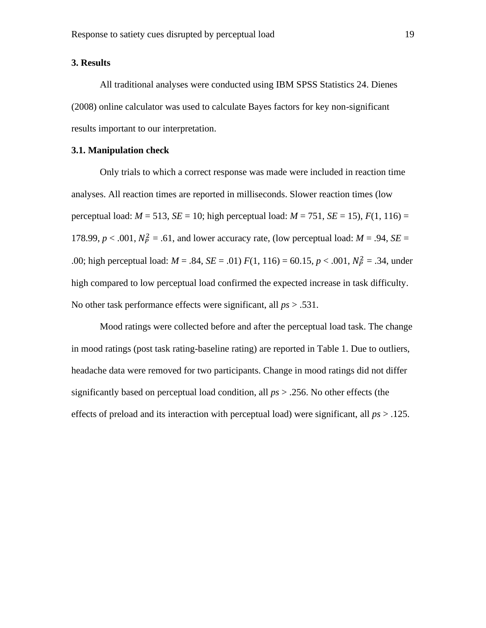#### **3. Results**

All traditional analyses were conducted using IBM SPSS Statistics 24. Dienes (2008) online calculator was used to calculate Bayes factors for key non-significant results important to our interpretation.

#### **3.1. Manipulation check**

Only trials to which a correct response was made were included in reaction time analyses. All reaction times are reported in milliseconds. Slower reaction times (low perceptual load:  $M = 513$ ,  $SE = 10$ ; high perceptual load:  $M = 751$ ,  $SE = 15$ ),  $F(1, 116) =$ 178.99,  $p < .001$ ,  $N_P^2 = .61$ , and lower accuracy rate, (low perceptual load:  $M = .94$ ,  $SE =$ .00; high perceptual load:  $M = .84$ ,  $SE = .01$   $F(1, 116) = 60.15$ ,  $p < .001$ ,  $N_P^2 = .34$ , under high compared to low perceptual load confirmed the expected increase in task difficulty. No other task performance effects were significant, all *ps* > .531.

Mood ratings were collected before and after the perceptual load task. The change in mood ratings (post task rating-baseline rating) are reported in Table 1. Due to outliers, headache data were removed for two participants. Change in mood ratings did not differ significantly based on perceptual load condition, all *ps* > .256. No other effects (the effects of preload and its interaction with perceptual load) were significant, all *ps* > .125.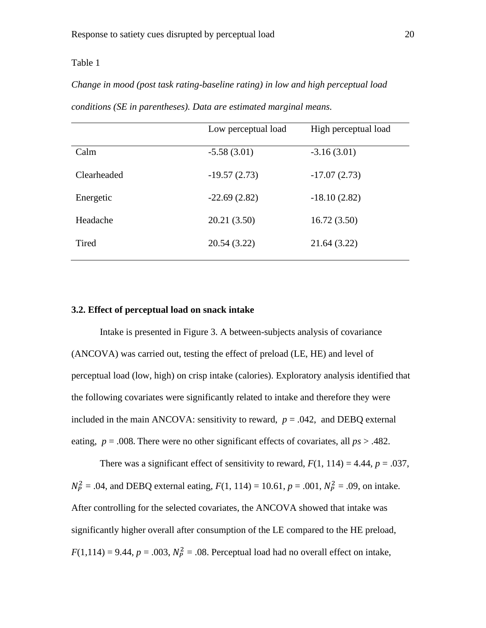#### Table 1

*Change in mood (post task rating-baseline rating) in low and high perceptual load* 

|             | Low perceptual load | High perceptual load |
|-------------|---------------------|----------------------|
| Calm        | $-5.58(3.01)$       | $-3.16(3.01)$        |
| Clearheaded | $-19.57(2.73)$      | $-17.07(2.73)$       |
| Energetic   | $-22.69(2.82)$      | $-18.10(2.82)$       |
| Headache    | 20.21 (3.50)        | 16.72(3.50)          |
| Tired       | 20.54 (3.22)        | 21.64 (3.22)         |

*conditions (SE in parentheses). Data are estimated marginal means.*

#### **3.2. Effect of perceptual load on snack intake**

Intake is presented in Figure 3. A between-subjects analysis of covariance (ANCOVA) was carried out, testing the effect of preload (LE, HE) and level of perceptual load (low, high) on crisp intake (calories). Exploratory analysis identified that the following covariates were significantly related to intake and therefore they were included in the main ANCOVA: sensitivity to reward,  $p = .042$ , and DEBQ external eating,  $p = .008$ . There were no other significant effects of covariates, all  $ps > .482$ .

There was a significant effect of sensitivity to reward,  $F(1, 114) = 4.44$ ,  $p = .037$ ,  $N_P^2 = .04$ , and DEBQ external eating,  $F(1, 114) = 10.61$ ,  $p = .001$ ,  $N_P^2 = .09$ , on intake. After controlling for the selected covariates, the ANCOVA showed that intake was significantly higher overall after consumption of the LE compared to the HE preload,  $F(1,114) = 9.44$ ,  $p = .003$ ,  $N_P^2 = .08$ . Perceptual load had no overall effect on intake,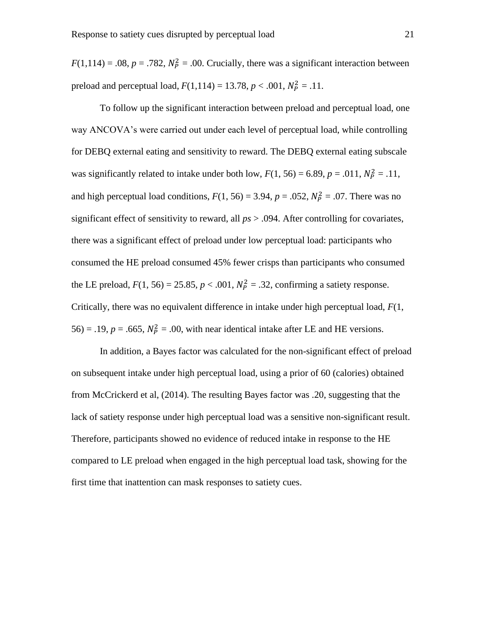$F(1,114) = .08$ ,  $p = .782$ ,  $N_P^2 = .00$ . Crucially, there was a significant interaction between preload and perceptual load,  $F(1,114) = 13.78, p < .001, N_P^2 = .11$ .

To follow up the significant interaction between preload and perceptual load, one way ANCOVA's were carried out under each level of perceptual load, while controlling for DEBQ external eating and sensitivity to reward. The DEBQ external eating subscale was significantly related to intake under both low,  $F(1, 56) = 6.89$ ,  $p = .011$ ,  $N_P^2 = .11$ , and high perceptual load conditions,  $F(1, 56) = 3.94$ ,  $p = .052$ ,  $N_p^2 = .07$ . There was no significant effect of sensitivity to reward, all *ps* > .094. After controlling for covariates, there was a significant effect of preload under low perceptual load: participants who consumed the HE preload consumed 45% fewer crisps than participants who consumed the LE preload,  $F(1, 56) = 25.85$ ,  $p < .001$ ,  $N_P^2 = .32$ , confirming a satiety response. Critically, there was no equivalent difference in intake under high perceptual load, *F*(1, 56) = .19,  $p = .665$ ,  $N_P^2 = .00$ , with near identical intake after LE and HE versions.

In addition, a Bayes factor was calculated for the non-significant effect of preload on subsequent intake under high perceptual load, using a prior of 60 (calories) obtained from McCrickerd et al, (2014). The resulting Bayes factor was .20, suggesting that the lack of satiety response under high perceptual load was a sensitive non-significant result. Therefore, participants showed no evidence of reduced intake in response to the HE compared to LE preload when engaged in the high perceptual load task, showing for the first time that inattention can mask responses to satiety cues.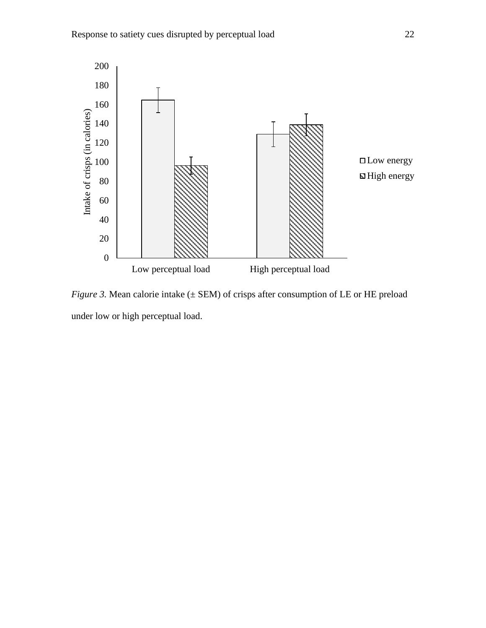

*Figure* 3. Mean calorie intake  $(\pm$  SEM) of crisps after consumption of LE or HE preload under low or high perceptual load.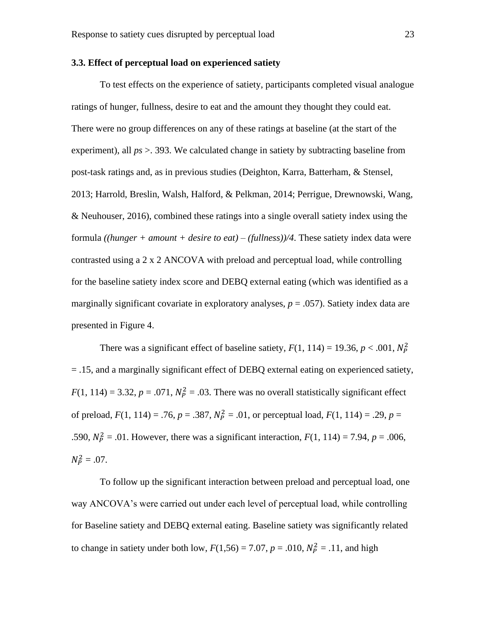#### **3.3. Effect of perceptual load on experienced satiety**

To test effects on the experience of satiety, participants completed visual analogue ratings of hunger, fullness, desire to eat and the amount they thought they could eat. There were no group differences on any of these ratings at baseline (at the start of the experiment), all  $ps > 0.393$ . We calculated change in satiety by subtracting baseline from post-task ratings and, as in previous studies (Deighton, Karra, Batterham, & Stensel, 2013; Harrold, Breslin, Walsh, Halford, & Pelkman, 2014; Perrigue, Drewnowski, Wang, & Neuhouser, 2016), combined these ratings into a single overall satiety index using the formula *((hunger + amount + desire to eat) – (fullness))/4*. These satiety index data were contrasted using a 2 x 2 ANCOVA with preload and perceptual load, while controlling for the baseline satiety index score and DEBQ external eating (which was identified as a marginally significant covariate in exploratory analyses,  $p = .057$ ). Satiety index data are presented in Figure 4.

There was a significant effect of baseline satiety,  $F(1, 114) = 19.36, p < .001, N_P^2$ = .15, and a marginally significant effect of DEBQ external eating on experienced satiety,  $F(1, 114) = 3.32, p = .071, N_P^2 = .03$ . There was no overall statistically significant effect of preload,  $F(1, 114) = .76$ ,  $p = .387$ ,  $N_P^2 = .01$ , or perceptual load,  $F(1, 114) = .29$ ,  $p =$ .590,  $N_P^2 = .01$ . However, there was a significant interaction,  $F(1, 114) = 7.94$ ,  $p = .006$ ,  $N_P^2 = .07$ .

To follow up the significant interaction between preload and perceptual load, one way ANCOVA's were carried out under each level of perceptual load, while controlling for Baseline satiety and DEBQ external eating. Baseline satiety was significantly related to change in satiety under both low,  $F(1,56) = 7.07$ ,  $p = .010$ ,  $N_P^2 = .11$ , and high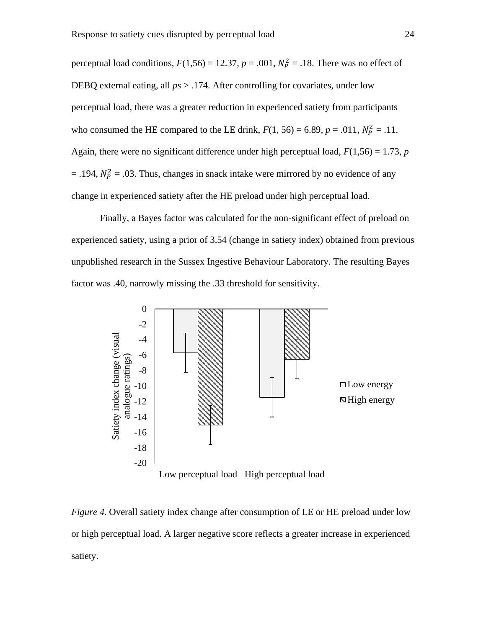perceptual load conditions,  $F(1,56) = 12.37$ ,  $p = .001$ ,  $N_P^2 = .18$ . There was no effect of DEBQ external eating, all *ps* > .174. After controlling for covariates, under low perceptual load, there was a greater reduction in experienced satiety from participants who consumed the HE compared to the LE drink,  $F(1, 56) = 6.89$ ,  $p = .011$ ,  $N_P^2 = .11$ . Again, there were no significant difference under high perceptual load,  $F(1,56) = 1.73$ , *p*  $=$  .194,  $N_P^2 = .03$ . Thus, changes in snack intake were mirrored by no evidence of any change in experienced satiety after the HE preload under high perceptual load.

Finally, a Bayes factor was calculated for the non-significant effect of preload on experienced satiety, using a prior of 3.54 (change in satiety index) obtained from previous unpublished research in the Sussex Ingestive Behaviour Laboratory. The resulting Bayes factor was .40, narrowly missing the .33 threshold for sensitivity.



*Figure 4.* Overall satiety index change after consumption of LE or HE preload under low or high perceptual load. A larger negative score reflects a greater increase in experienced satiety.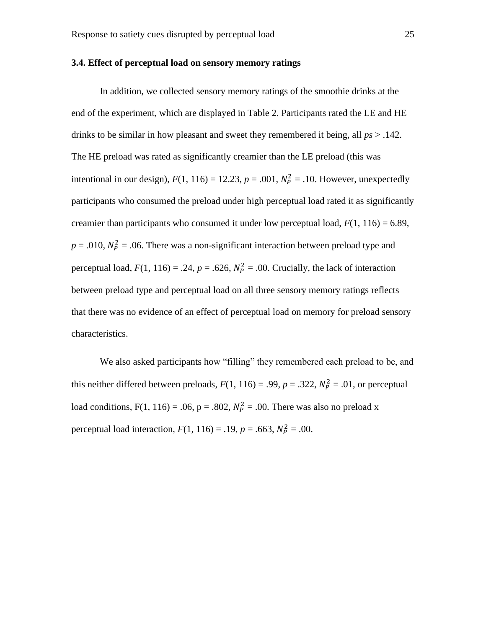#### **3.4. Effect of perceptual load on sensory memory ratings**

In addition, we collected sensory memory ratings of the smoothie drinks at the end of the experiment, which are displayed in Table 2. Participants rated the LE and HE drinks to be similar in how pleasant and sweet they remembered it being, all *ps* > .142. The HE preload was rated as significantly creamier than the LE preload (this was intentional in our design),  $F(1, 116) = 12.23$ ,  $p = .001$ ,  $N_P^2 = .10$ . However, unexpectedly participants who consumed the preload under high perceptual load rated it as significantly creamier than participants who consumed it under low perceptual load,  $F(1, 116) = 6.89$ ,  $p = .010$ ,  $N_P^2 = .06$ . There was a non-significant interaction between preload type and perceptual load,  $F(1, 116) = .24$ ,  $p = .626$ ,  $N_p^2 = .00$ . Crucially, the lack of interaction between preload type and perceptual load on all three sensory memory ratings reflects that there was no evidence of an effect of perceptual load on memory for preload sensory characteristics.

We also asked participants how "filling" they remembered each preload to be, and this neither differed between preloads,  $F(1, 116) = .99$ ,  $p = .322$ ,  $N_P^2 = .01$ , or perceptual load conditions,  $F(1, 116) = .06$ ,  $p = .802$ ,  $N_p^2 = .00$ . There was also no preload x perceptual load interaction,  $F(1, 116) = .19$ ,  $p = .663$ ,  $N_P^2 = .00$ .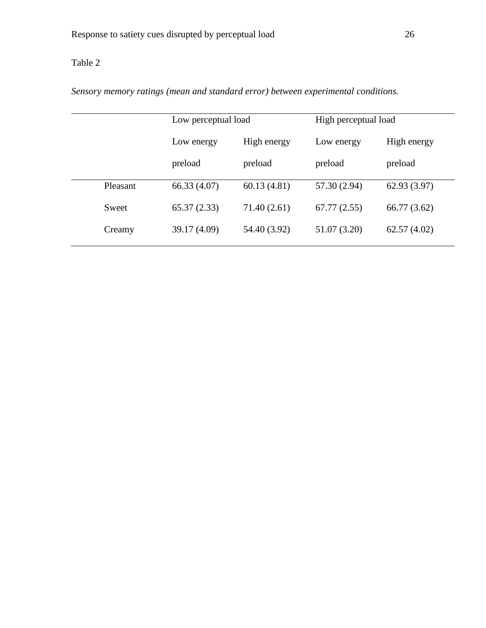## Table 2

*Sensory memory ratings (mean and standard error) between experimental conditions.*

|  |          | Low perceptual load<br>High energy<br>Low energy |              | High perceptual load |              |
|--|----------|--------------------------------------------------|--------------|----------------------|--------------|
|  |          |                                                  |              | Low energy           | High energy  |
|  |          | preload                                          | preload      | preload              | preload      |
|  | Pleasant | 66.33(4.07)                                      | 60.13(4.81)  | 57.30 (2.94)         | 62.93(3.97)  |
|  | Sweet    | 65.37(2.33)                                      | 71.40 (2.61) | 67.77(2.55)          | 66.77 (3.62) |
|  | Creamy   | 39.17 (4.09)                                     | 54.40 (3.92) | 51.07 (3.20)         | 62.57(4.02)  |
|  |          |                                                  |              |                      |              |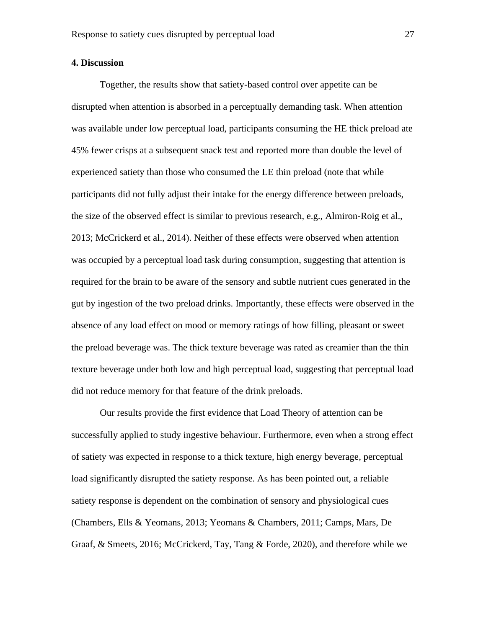#### **4. Discussion**

Together, the results show that satiety-based control over appetite can be disrupted when attention is absorbed in a perceptually demanding task. When attention was available under low perceptual load, participants consuming the HE thick preload ate 45% fewer crisps at a subsequent snack test and reported more than double the level of experienced satiety than those who consumed the LE thin preload (note that while participants did not fully adjust their intake for the energy difference between preloads, the size of the observed effect is similar to previous research, e.g., Almiron-Roig et al., 2013; McCrickerd et al., 2014). Neither of these effects were observed when attention was occupied by a perceptual load task during consumption, suggesting that attention is required for the brain to be aware of the sensory and subtle nutrient cues generated in the gut by ingestion of the two preload drinks. Importantly, these effects were observed in the absence of any load effect on mood or memory ratings of how filling, pleasant or sweet the preload beverage was. The thick texture beverage was rated as creamier than the thin texture beverage under both low and high perceptual load, suggesting that perceptual load did not reduce memory for that feature of the drink preloads.

Our results provide the first evidence that Load Theory of attention can be successfully applied to study ingestive behaviour. Furthermore, even when a strong effect of satiety was expected in response to a thick texture, high energy beverage, perceptual load significantly disrupted the satiety response. As has been pointed out, a reliable satiety response is dependent on the combination of sensory and physiological cues (Chambers, Ells & Yeomans, 2013; Yeomans & Chambers, 2011; Camps, Mars, De Graaf, & Smeets, 2016; McCrickerd, Tay, Tang & Forde, 2020), and therefore while we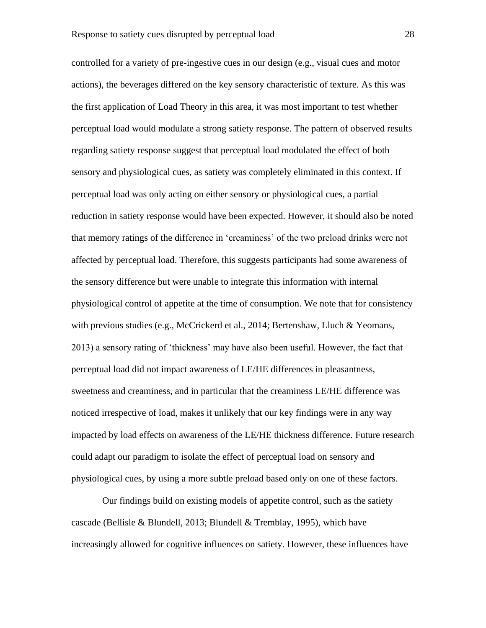controlled for a variety of pre-ingestive cues in our design (e.g., visual cues and motor actions), the beverages differed on the key sensory characteristic of texture. As this was the first application of Load Theory in this area, it was most important to test whether perceptual load would modulate a strong satiety response. The pattern of observed results regarding satiety response suggest that perceptual load modulated the effect of both sensory and physiological cues, as satiety was completely eliminated in this context. If perceptual load was only acting on either sensory or physiological cues, a partial reduction in satiety response would have been expected. However, it should also be noted that memory ratings of the difference in 'creaminess' of the two preload drinks were not affected by perceptual load. Therefore, this suggests participants had some awareness of the sensory difference but were unable to integrate this information with internal physiological control of appetite at the time of consumption. We note that for consistency with previous studies (e.g., McCrickerd et al., 2014; Bertenshaw, Lluch & Yeomans, 2013) a sensory rating of 'thickness' may have also been useful. However, the fact that perceptual load did not impact awareness of LE/HE differences in pleasantness, sweetness and creaminess, and in particular that the creaminess LE/HE difference was noticed irrespective of load, makes it unlikely that our key findings were in any way impacted by load effects on awareness of the LE/HE thickness difference. Future research could adapt our paradigm to isolate the effect of perceptual load on sensory and physiological cues, by using a more subtle preload based only on one of these factors.

Our findings build on existing models of appetite control, such as the satiety cascade (Bellisle & Blundell, 2013; Blundell & Tremblay, 1995), which have increasingly allowed for cognitive influences on satiety. However, these influences have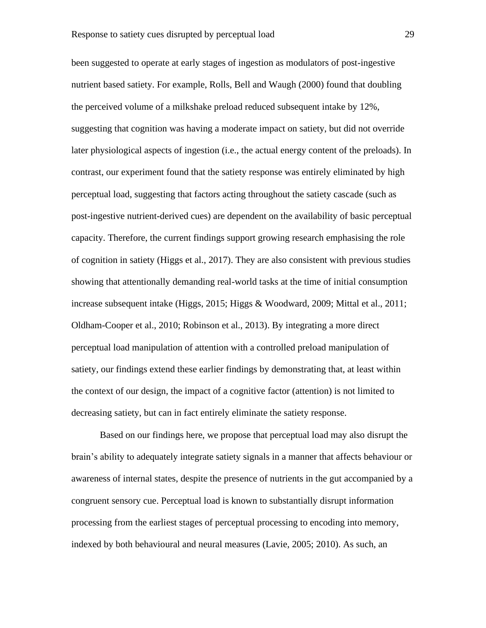been suggested to operate at early stages of ingestion as modulators of post-ingestive nutrient based satiety. For example, Rolls, Bell and Waugh (2000) found that doubling the perceived volume of a milkshake preload reduced subsequent intake by 12%, suggesting that cognition was having a moderate impact on satiety, but did not override later physiological aspects of ingestion (i.e., the actual energy content of the preloads). In contrast, our experiment found that the satiety response was entirely eliminated by high perceptual load, suggesting that factors acting throughout the satiety cascade (such as post-ingestive nutrient-derived cues) are dependent on the availability of basic perceptual capacity. Therefore, the current findings support growing research emphasising the role of cognition in satiety (Higgs et al., 2017). They are also consistent with previous studies showing that attentionally demanding real-world tasks at the time of initial consumption increase subsequent intake (Higgs, 2015; Higgs & Woodward, 2009; Mittal et al., 2011; Oldham-Cooper et al., 2010; Robinson et al., 2013). By integrating a more direct perceptual load manipulation of attention with a controlled preload manipulation of satiety, our findings extend these earlier findings by demonstrating that, at least within the context of our design, the impact of a cognitive factor (attention) is not limited to decreasing satiety, but can in fact entirely eliminate the satiety response.

Based on our findings here, we propose that perceptual load may also disrupt the brain's ability to adequately integrate satiety signals in a manner that affects behaviour or awareness of internal states, despite the presence of nutrients in the gut accompanied by a congruent sensory cue. Perceptual load is known to substantially disrupt information processing from the earliest stages of perceptual processing to encoding into memory, indexed by both behavioural and neural measures (Lavie, 2005; 2010). As such, an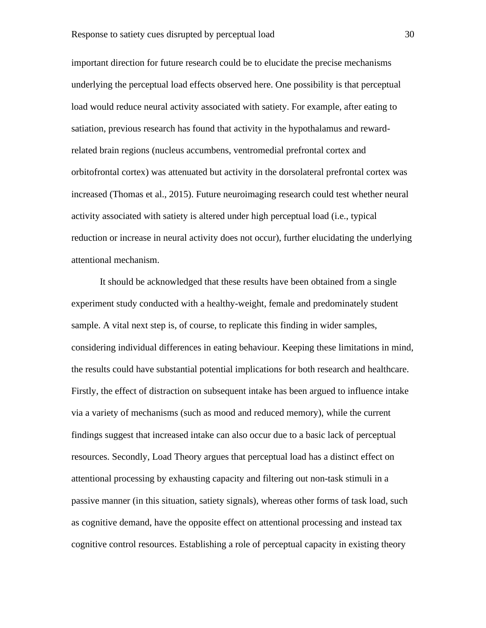important direction for future research could be to elucidate the precise mechanisms underlying the perceptual load effects observed here. One possibility is that perceptual load would reduce neural activity associated with satiety. For example, after eating to satiation, previous research has found that activity in the hypothalamus and rewardrelated brain regions (nucleus accumbens, ventromedial prefrontal cortex and orbitofrontal cortex) was attenuated but activity in the dorsolateral prefrontal cortex was increased (Thomas et al., 2015). Future neuroimaging research could test whether neural activity associated with satiety is altered under high perceptual load (i.e., typical reduction or increase in neural activity does not occur), further elucidating the underlying attentional mechanism.

It should be acknowledged that these results have been obtained from a single experiment study conducted with a healthy-weight, female and predominately student sample. A vital next step is, of course, to replicate this finding in wider samples, considering individual differences in eating behaviour. Keeping these limitations in mind, the results could have substantial potential implications for both research and healthcare. Firstly, the effect of distraction on subsequent intake has been argued to influence intake via a variety of mechanisms (such as mood and reduced memory), while the current findings suggest that increased intake can also occur due to a basic lack of perceptual resources. Secondly, Load Theory argues that perceptual load has a distinct effect on attentional processing by exhausting capacity and filtering out non-task stimuli in a passive manner (in this situation, satiety signals), whereas other forms of task load, such as cognitive demand, have the opposite effect on attentional processing and instead tax cognitive control resources. Establishing a role of perceptual capacity in existing theory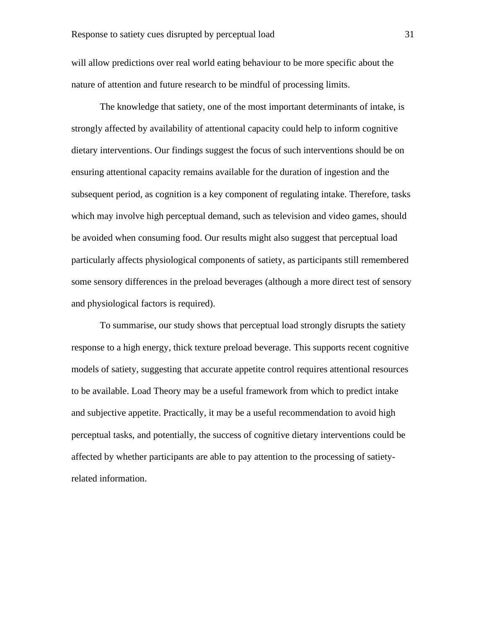will allow predictions over real world eating behaviour to be more specific about the nature of attention and future research to be mindful of processing limits.

The knowledge that satiety, one of the most important determinants of intake, is strongly affected by availability of attentional capacity could help to inform cognitive dietary interventions. Our findings suggest the focus of such interventions should be on ensuring attentional capacity remains available for the duration of ingestion and the subsequent period, as cognition is a key component of regulating intake. Therefore, tasks which may involve high perceptual demand, such as television and video games, should be avoided when consuming food. Our results might also suggest that perceptual load particularly affects physiological components of satiety, as participants still remembered some sensory differences in the preload beverages (although a more direct test of sensory and physiological factors is required).

To summarise, our study shows that perceptual load strongly disrupts the satiety response to a high energy, thick texture preload beverage. This supports recent cognitive models of satiety, suggesting that accurate appetite control requires attentional resources to be available. Load Theory may be a useful framework from which to predict intake and subjective appetite. Practically, it may be a useful recommendation to avoid high perceptual tasks, and potentially, the success of cognitive dietary interventions could be affected by whether participants are able to pay attention to the processing of satietyrelated information.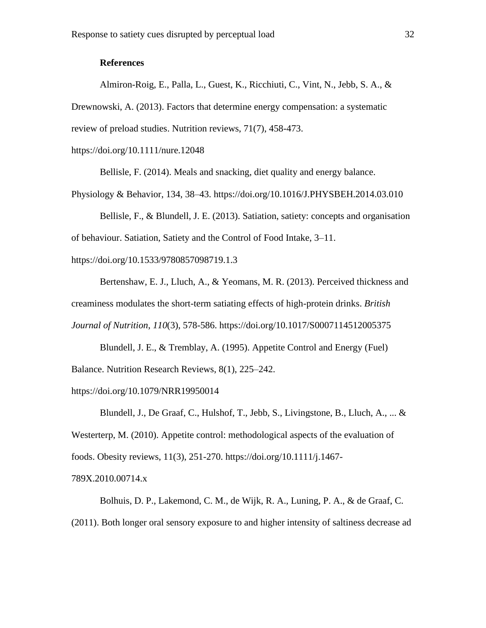#### **References**

Almiron-Roig, E., Palla, L., Guest, K., Ricchiuti, C., Vint, N., Jebb, S. A., & Drewnowski, A. (2013). Factors that determine energy compensation: a systematic review of preload studies. Nutrition reviews, 71(7), 458-473.

https://doi.org/10.1111/nure.12048

Bellisle, F. (2014). Meals and snacking, diet quality and energy balance.

Physiology & Behavior, 134, 38–43. https://doi.org/10.1016/J.PHYSBEH.2014.03.010

Bellisle, F., & Blundell, J. E. (2013). Satiation, satiety: concepts and organisation of behaviour. Satiation, Satiety and the Control of Food Intake, 3–11.

<https://doi.org/10.1533/9780857098719.1.3>

Bertenshaw, E. J., Lluch, A., & Yeomans, M. R. (2013). Perceived thickness and creaminess modulates the short-term satiating effects of high-protein drinks. *British Journal of Nutrition*, *110*(3), 578-586. https://doi.org/10.1017/S0007114512005375

Blundell, J. E., & Tremblay, A. (1995). Appetite Control and Energy (Fuel) Balance. Nutrition Research Reviews, 8(1), 225–242.

https://doi.org/10.1079/NRR19950014

Blundell, J., De Graaf, C., Hulshof, T., Jebb, S., Livingstone, B., Lluch, A., ... & Westerterp, M. (2010). Appetite control: methodological aspects of the evaluation of foods. Obesity reviews, 11(3), 251-270. https://doi.org/10.1111/j.1467-

789X.2010.00714.x

Bolhuis, D. P., Lakemond, C. M., de Wijk, R. A., Luning, P. A., & de Graaf, C. (2011). Both longer oral sensory exposure to and higher intensity of saltiness decrease ad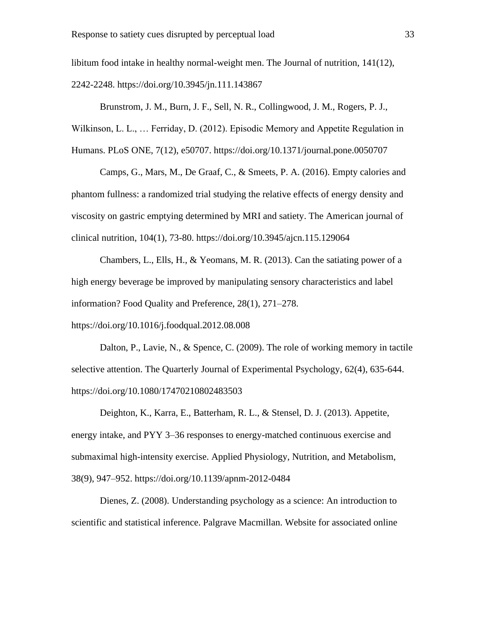libitum food intake in healthy normal-weight men. The Journal of nutrition, 141(12), 2242-2248. https://doi.org/10.3945/jn.111.143867

Brunstrom, J. M., Burn, J. F., Sell, N. R., Collingwood, J. M., Rogers, P. J.,

Wilkinson, L. L., … Ferriday, D. (2012). Episodic Memory and Appetite Regulation in Humans. PLoS ONE, 7(12), e50707. https://doi.org/10.1371/journal.pone.0050707

Camps, G., Mars, M., De Graaf, C., & Smeets, P. A. (2016). Empty calories and phantom fullness: a randomized trial studying the relative effects of energy density and viscosity on gastric emptying determined by MRI and satiety. The American journal of clinical nutrition, 104(1), 73-80. https://doi.org/10.3945/ajcn.115.129064

Chambers, L., Ells, H., & Yeomans, M. R. (2013). Can the satiating power of a high energy beverage be improved by manipulating sensory characteristics and label information? Food Quality and Preference, 28(1), 271–278.

https://doi.org/10.1016/j.foodqual.2012.08.008

Dalton, P., Lavie, N., & Spence, C. (2009). The role of working memory in tactile selective attention. The Quarterly Journal of Experimental Psychology, 62(4), 635-644. https://doi.org/10.1080/17470210802483503

Deighton, K., Karra, E., Batterham, R. L., & Stensel, D. J. (2013). Appetite, energy intake, and PYY 3–36 responses to energy-matched continuous exercise and submaximal high-intensity exercise. Applied Physiology, Nutrition, and Metabolism, 38(9), 947–952. https://doi.org/10.1139/apnm-2012-0484

Dienes, Z. (2008). Understanding psychology as a science: An introduction to scientific and statistical inference. Palgrave Macmillan. Website for associated online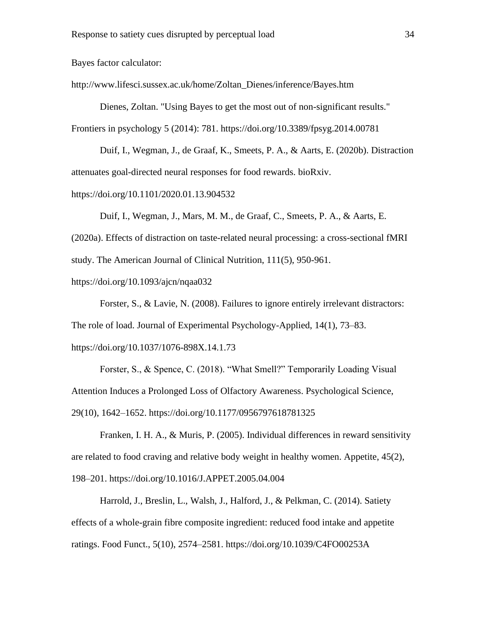Bayes factor calculator:

http://www.lifesci.sussex.ac.uk/home/Zoltan\_Dienes/inference/Bayes.htm

Dienes, Zoltan. "Using Bayes to get the most out of non-significant results." Frontiers in psychology 5 (2014): 781. https://doi.org/10.3389/fpsyg.2014.00781

Duif, I., Wegman, J., de Graaf, K., Smeets, P. A., & Aarts, E. (2020b). Distraction attenuates goal-directed neural responses for food rewards. bioRxiv.

https://doi.org/10.1101/2020.01.13.904532

Duif, I., Wegman, J., Mars, M. M., de Graaf, C., Smeets, P. A., & Aarts, E. (2020a). Effects of distraction on taste-related neural processing: a cross-sectional fMRI study. The American Journal of Clinical Nutrition, 111(5), 950-961.

https://doi.org/10.1093/ajcn/nqaa032

Forster, S., & Lavie, N. (2008). Failures to ignore entirely irrelevant distractors: The role of load. Journal of Experimental Psychology-Applied, 14(1), 73–83. https://doi.org/10.1037/1076-898X.14.1.73

Forster, S., & Spence, C. (2018). "What Smell?" Temporarily Loading Visual Attention Induces a Prolonged Loss of Olfactory Awareness. Psychological Science, 29(10), 1642–1652. https://doi.org/10.1177/0956797618781325

Franken, I. H. A., & Muris, P. (2005). Individual differences in reward sensitivity are related to food craving and relative body weight in healthy women. Appetite, 45(2), 198–201. https://doi.org/10.1016/J.APPET.2005.04.004

Harrold, J., Breslin, L., Walsh, J., Halford, J., & Pelkman, C. (2014). Satiety effects of a whole-grain fibre composite ingredient: reduced food intake and appetite ratings. Food Funct., 5(10), 2574–2581. https://doi.org/10.1039/C4FO00253A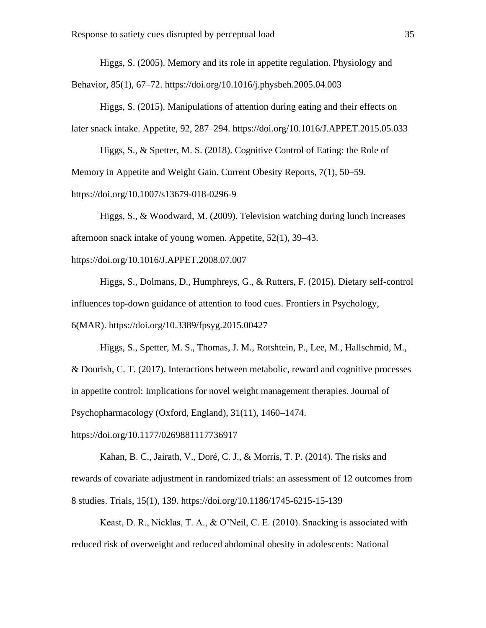Higgs, S. (2005). Memory and its role in appetite regulation. Physiology and

Behavior, 85(1), 67–72. https://doi.org/10.1016/j.physbeh.2005.04.003

Higgs, S. (2015). Manipulations of attention during eating and their effects on later snack intake. Appetite, 92, 287–294. https://doi.org/10.1016/J.APPET.2015.05.033

Higgs, S., & Spetter, M. S. (2018). Cognitive Control of Eating: the Role of Memory in Appetite and Weight Gain. Current Obesity Reports, 7(1), 50–59.

https://doi.org/10.1007/s13679-018-0296-9

Higgs, S., & Woodward, M. (2009). Television watching during lunch increases afternoon snack intake of young women. Appetite, 52(1), 39–43.

https://doi.org/10.1016/J.APPET.2008.07.007

Higgs, S., Dolmans, D., Humphreys, G., & Rutters, F. (2015). Dietary self-control influences top-down guidance of attention to food cues. Frontiers in Psychology, 6(MAR). https://doi.org/10.3389/fpsyg.2015.00427

Higgs, S., Spetter, M. S., Thomas, J. M., Rotshtein, P., Lee, M., Hallschmid, M., & Dourish, C. T. (2017). Interactions between metabolic, reward and cognitive processes in appetite control: Implications for novel weight management therapies. Journal of Psychopharmacology (Oxford, England), 31(11), 1460–1474.

https://doi.org/10.1177/0269881117736917

Kahan, B. C., Jairath, V., Doré, C. J., & Morris, T. P. (2014). The risks and rewards of covariate adjustment in randomized trials: an assessment of 12 outcomes from 8 studies. Trials, 15(1), 139. https://doi.org/10.1186/1745-6215-15-139

Keast, D. R., Nicklas, T. A., & O'Neil, C. E. (2010). Snacking is associated with reduced risk of overweight and reduced abdominal obesity in adolescents: National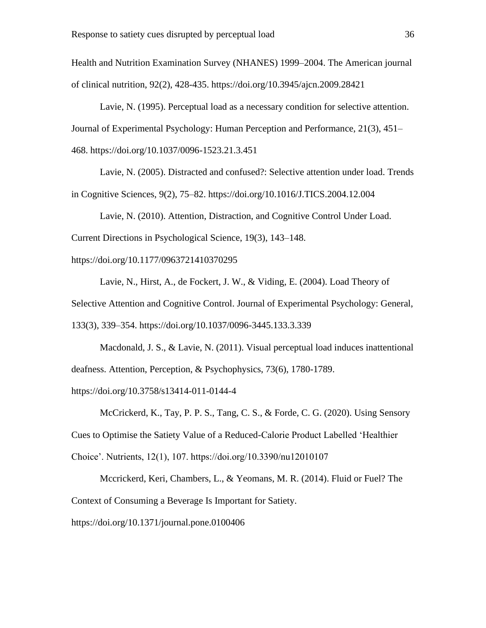Health and Nutrition Examination Survey (NHANES) 1999–2004. The American journal of clinical nutrition, 92(2), 428-435. https://doi.org/10.3945/ajcn.2009.28421

Lavie, N. (1995). Perceptual load as a necessary condition for selective attention. Journal of Experimental Psychology: Human Perception and Performance, 21(3), 451– 468. https://doi.org/10.1037/0096-1523.21.3.451

Lavie, N. (2005). Distracted and confused?: Selective attention under load. Trends in Cognitive Sciences, 9(2), 75–82. https://doi.org/10.1016/J.TICS.2004.12.004

Lavie, N. (2010). Attention, Distraction, and Cognitive Control Under Load. Current Directions in Psychological Science, 19(3), 143–148.

https://doi.org/10.1177/0963721410370295

Lavie, N., Hirst, A., de Fockert, J. W., & Viding, E. (2004). Load Theory of Selective Attention and Cognitive Control. Journal of Experimental Psychology: General, 133(3), 339–354. https://doi.org/10.1037/0096-3445.133.3.339

Macdonald, J. S., & Lavie, N. (2011). Visual perceptual load induces inattentional deafness. Attention, Perception, & Psychophysics, 73(6), 1780-1789.

https://doi.org/10.3758/s13414-011-0144-4

McCrickerd, K., Tay, P. P. S., Tang, C. S., & Forde, C. G. (2020). Using Sensory Cues to Optimise the Satiety Value of a Reduced-Calorie Product Labelled 'Healthier Choice'. Nutrients, 12(1), 107. https://doi.org/10.3390/nu12010107

Mccrickerd, Keri, Chambers, L., & Yeomans, M. R. (2014). Fluid or Fuel? The Context of Consuming a Beverage Is Important for Satiety.

https://doi.org/10.1371/journal.pone.0100406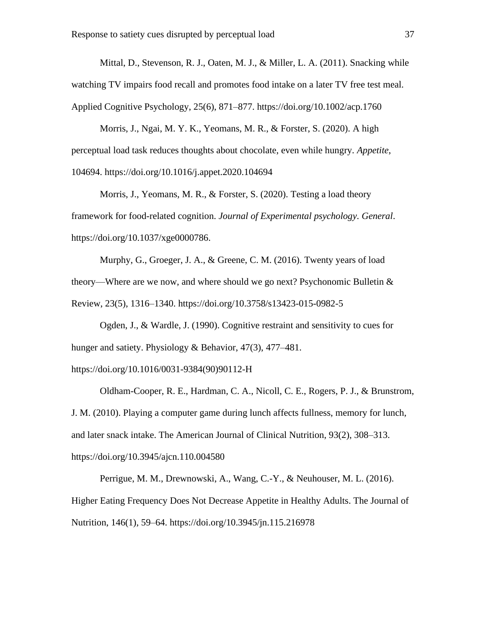Mittal, D., Stevenson, R. J., Oaten, M. J., & Miller, L. A. (2011). Snacking while watching TV impairs food recall and promotes food intake on a later TV free test meal. Applied Cognitive Psychology, 25(6), 871–877. https://doi.org/10.1002/acp.1760

Morris, J., Ngai, M. Y. K., Yeomans, M. R., & Forster, S. (2020). A high perceptual load task reduces thoughts about chocolate, even while hungry. *Appetite*, 104694. https://doi.org/10.1016/j.appet.2020.104694

Morris, J., Yeomans, M. R., & Forster, S. (2020). Testing a load theory framework for food-related cognition. *Journal of Experimental psychology. General*. https://doi.org/10.1037/xge0000786.

Murphy, G., Groeger, J. A., & Greene, C. M. (2016). Twenty years of load theory—Where are we now, and where should we go next? Psychonomic Bulletin  $\&$ Review, 23(5), 1316–1340. https://doi.org/10.3758/s13423-015-0982-5

Ogden, J., & Wardle, J. (1990). Cognitive restraint and sensitivity to cues for hunger and satiety. Physiology & Behavior, 47(3), 477–481.

https://doi.org/10.1016/0031-9384(90)90112-H

Oldham-Cooper, R. E., Hardman, C. A., Nicoll, C. E., Rogers, P. J., & Brunstrom, J. M. (2010). Playing a computer game during lunch affects fullness, memory for lunch, and later snack intake. The American Journal of Clinical Nutrition, 93(2), 308–313. https://doi.org/10.3945/ajcn.110.004580

Perrigue, M. M., Drewnowski, A., Wang, C.-Y., & Neuhouser, M. L. (2016). Higher Eating Frequency Does Not Decrease Appetite in Healthy Adults. The Journal of Nutrition, 146(1), 59–64. https://doi.org/10.3945/jn.115.216978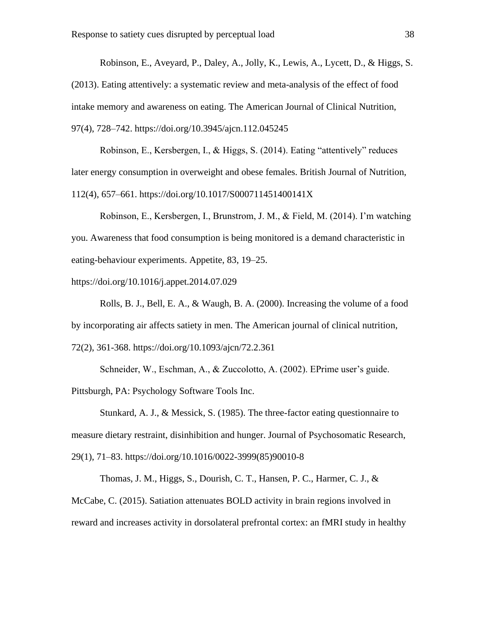Robinson, E., Aveyard, P., Daley, A., Jolly, K., Lewis, A., Lycett, D., & Higgs, S. (2013). Eating attentively: a systematic review and meta-analysis of the effect of food intake memory and awareness on eating. The American Journal of Clinical Nutrition, 97(4), 728–742. https://doi.org/10.3945/ajcn.112.045245

Robinson, E., Kersbergen, I., & Higgs, S. (2014). Eating "attentively" reduces later energy consumption in overweight and obese females. British Journal of Nutrition, 112(4), 657–661. https://doi.org/10.1017/S000711451400141X

Robinson, E., Kersbergen, I., Brunstrom, J. M., & Field, M. (2014). I'm watching you. Awareness that food consumption is being monitored is a demand characteristic in eating-behaviour experiments. Appetite, 83, 19–25.

https://doi.org/10.1016/j.appet.2014.07.029

Rolls, B. J., Bell, E. A., & Waugh, B. A. (2000). Increasing the volume of a food by incorporating air affects satiety in men. The American journal of clinical nutrition, 72(2), 361-368. https://doi.org/10.1093/ajcn/72.2.361

Schneider, W., Eschman, A., & Zuccolotto, A. (2002). EPrime user's guide. Pittsburgh, PA: Psychology Software Tools Inc.

Stunkard, A. J., & Messick, S. (1985). The three-factor eating questionnaire to measure dietary restraint, disinhibition and hunger. Journal of Psychosomatic Research, 29(1), 71–83. https://doi.org/10.1016/0022-3999(85)90010-8

Thomas, J. M., Higgs, S., Dourish, C. T., Hansen, P. C., Harmer, C. J., & McCabe, C. (2015). Satiation attenuates BOLD activity in brain regions involved in reward and increases activity in dorsolateral prefrontal cortex: an fMRI study in healthy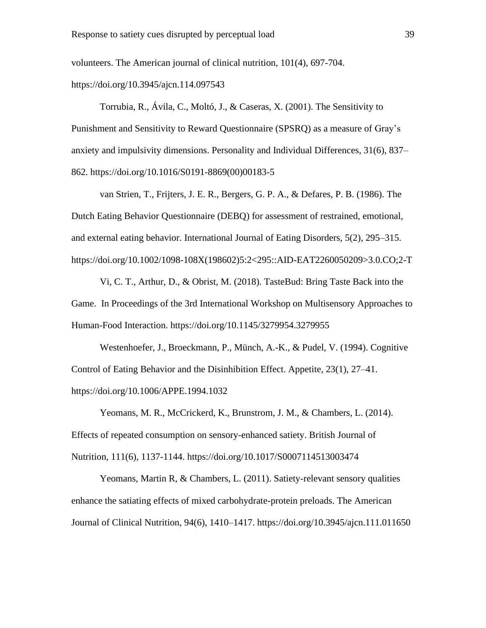volunteers. The American journal of clinical nutrition, 101(4), 697-704.

https://doi.org/10.3945/ajcn.114.097543

Torrubia, R., Ávila, C., Moltó, J., & Caseras, X. (2001). The Sensitivity to Punishment and Sensitivity to Reward Questionnaire (SPSRQ) as a measure of Gray's anxiety and impulsivity dimensions. Personality and Individual Differences, 31(6), 837– 862. https://doi.org/10.1016/S0191-8869(00)00183-5

van Strien, T., Frijters, J. E. R., Bergers, G. P. A., & Defares, P. B. (1986). The Dutch Eating Behavior Questionnaire (DEBQ) for assessment of restrained, emotional, and external eating behavior. International Journal of Eating Disorders, 5(2), 295–315. https://doi.org/10.1002/1098-108X(198602)5:2<295::AID-EAT2260050209>3.0.CO;2-T

Vi, C. T., Arthur, D., & Obrist, M. (2018). TasteBud: Bring Taste Back into the Game. In Proceedings of the 3rd International Workshop on Multisensory Approaches to Human-Food Interaction. https://doi.org/10.1145/3279954.3279955

Westenhoefer, J., Broeckmann, P., Münch, A.-K., & Pudel, V. (1994). Cognitive Control of Eating Behavior and the Disinhibition Effect. Appetite, 23(1), 27–41. https://doi.org/10.1006/APPE.1994.1032

Yeomans, M. R., McCrickerd, K., Brunstrom, J. M., & Chambers, L. (2014). Effects of repeated consumption on sensory-enhanced satiety. British Journal of Nutrition, 111(6), 1137-1144. https://doi.org/10.1017/S0007114513003474

Yeomans, Martin R, & Chambers, L. (2011). Satiety-relevant sensory qualities enhance the satiating effects of mixed carbohydrate-protein preloads. The American Journal of Clinical Nutrition, 94(6), 1410–1417. https://doi.org/10.3945/ajcn.111.011650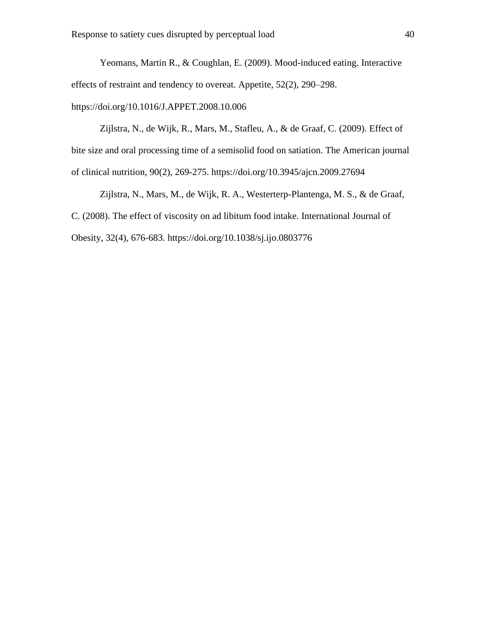Yeomans, Martin R., & Coughlan, E. (2009). Mood-induced eating. Interactive effects of restraint and tendency to overeat. Appetite, 52(2), 290–298. https://doi.org/10.1016/J.APPET.2008.10.006

Zijlstra, N., de Wijk, R., Mars, M., Stafleu, A., & de Graaf, C. (2009). Effect of bite size and oral processing time of a semisolid food on satiation. The American journal of clinical nutrition, 90(2), 269-275. https://doi.org/10.3945/ajcn.2009.27694

Zijlstra, N., Mars, M., de Wijk, R. A., Westerterp-Plantenga, M. S., & de Graaf, C. (2008). The effect of viscosity on ad libitum food intake. International Journal of Obesity, 32(4), 676-683. https://doi.org/10.1038/sj.ijo.0803776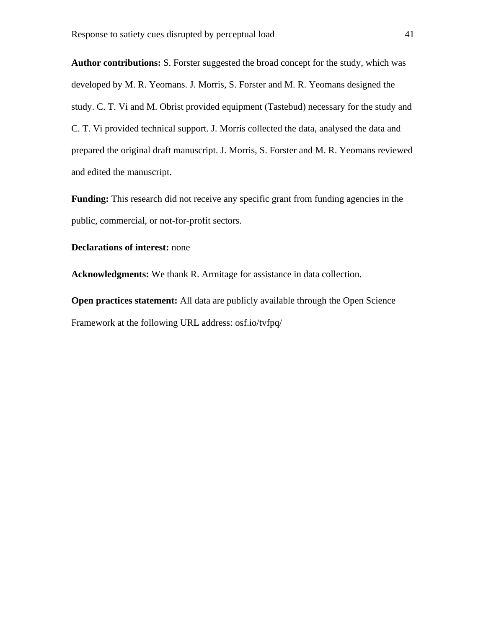**Author contributions:** S. Forster suggested the broad concept for the study, which was developed by M. R. Yeomans. J. Morris, S. Forster and M. R. Yeomans designed the study. C. T. Vi and M. Obrist provided equipment (Tastebud) necessary for the study and C. T. Vi provided technical support. J. Morris collected the data, analysed the data and prepared the original draft manuscript. J. Morris, S. Forster and M. R. Yeomans reviewed and edited the manuscript.

**Funding:** This research did not receive any specific grant from funding agencies in the public, commercial, or not-for-profit sectors.

#### **Declarations of interest:** none

**Acknowledgments:** We thank R. Armitage for assistance in data collection.

**Open practices statement:** All data are publicly available through the Open Science Framework at the following URL address: osf.io/tvfpq/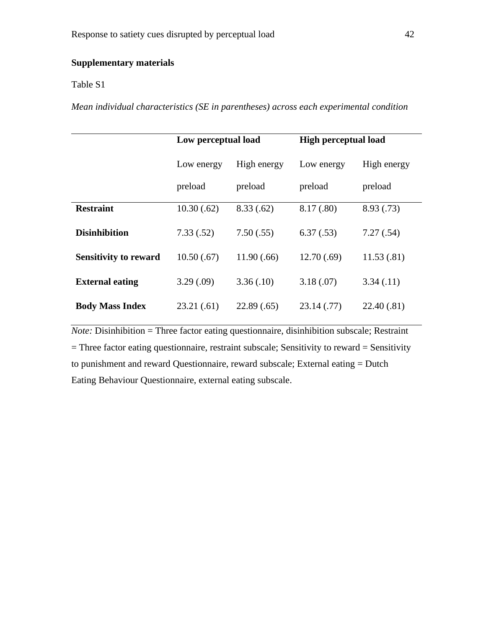### **Supplementary materials**

#### Table S1

*Mean individual characteristics (SE in parentheses) across each experimental condition*

|                              | Low perceptual load |             | <b>High perceptual load</b> |             |  |
|------------------------------|---------------------|-------------|-----------------------------|-------------|--|
|                              | Low energy          | High energy | Low energy                  | High energy |  |
|                              | preload             | preload     | preload                     | preload     |  |
| <b>Restraint</b>             | 10.30(.62)          | 8.33(.62)   | 8.17 (.80)                  | 8.93(.73)   |  |
| <b>Disinhibition</b>         | 7.33(.52)           | 7.50(.55)   | 6.37(.53)                   | 7.27(.54)   |  |
| <b>Sensitivity to reward</b> | 10.50(.67)          | 11.90(.66)  | 12.70(.69)                  | 11.53(.81)  |  |
| <b>External eating</b>       | 3.29(.09)           | 3.36(.10)   | 3.18(.07)                   | 3.34(0.11)  |  |
| <b>Body Mass Index</b>       | 23.21(.61)          | 22.89(.65)  | 23.14(0.77)                 | 22.40(.81)  |  |

*Note:* Disinhibition = Three factor eating questionnaire, disinhibition subscale; Restraint = Three factor eating questionnaire, restraint subscale; Sensitivity to reward = Sensitivity to punishment and reward Questionnaire, reward subscale; External eating = Dutch Eating Behaviour Questionnaire, external eating subscale.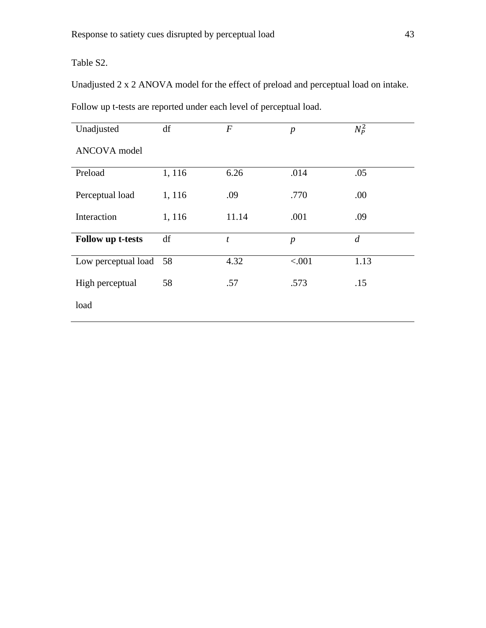Table S2.

Unadjusted 2 x 2 ANOVA model for the effect of preload and perceptual load on intake.

| Unadjusted             | df     | $\overline{F}$ | $\boldsymbol{p}$ | $N_p^2$        |  |
|------------------------|--------|----------------|------------------|----------------|--|
| <b>ANCOVA</b> model    |        |                |                  |                |  |
| Preload                | 1, 116 | 6.26           | .014             | .05            |  |
| Perceptual load        | 1,116  | .09            | .770             | .00            |  |
| Interaction            | 1, 116 | 11.14          | .001             | .09            |  |
| Follow up t-tests      | df     | t              | $\boldsymbol{p}$ | $\overline{d}$ |  |
| Low perceptual load 58 |        | 4.32           | < .001           | 1.13           |  |
| High perceptual        | 58     | .57            | .573             | .15            |  |
| load                   |        |                |                  |                |  |

Follow up t-tests are reported under each level of perceptual load.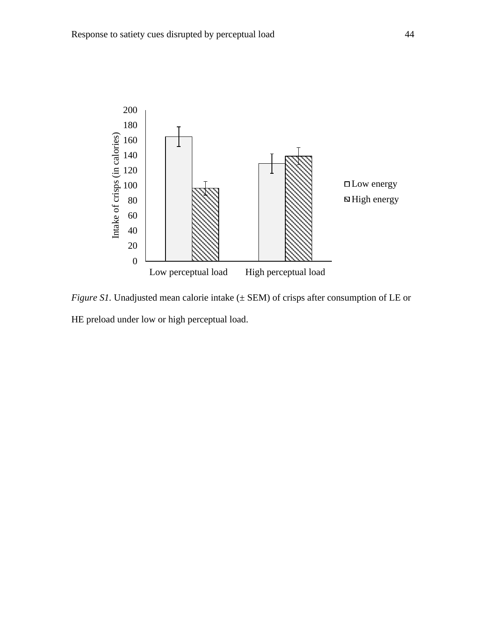

*Figure S1*. Unadjusted mean calorie intake ( $\pm$  SEM) of crisps after consumption of LE or HE preload under low or high perceptual load.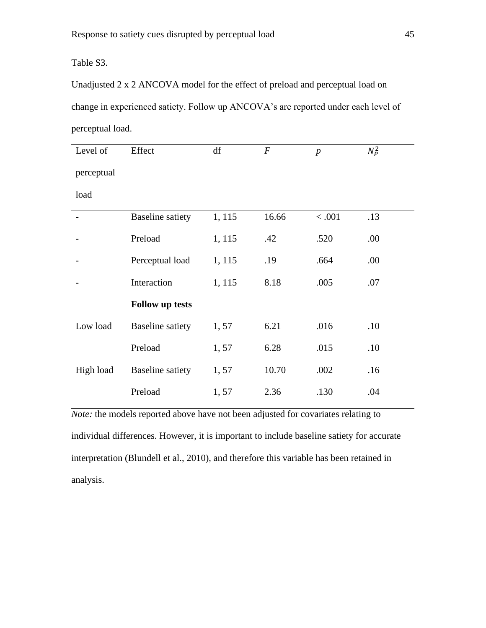Table S3.

Unadjusted 2 x 2 ANCOVA model for the effect of preload and perceptual load on change in experienced satiety. Follow up ANCOVA's are reported under each level of perceptual load.

| Level of   | Effect                  | df     | $\boldsymbol{F}$ | $\boldsymbol{p}$ | $N_P^2$ |
|------------|-------------------------|--------|------------------|------------------|---------|
| perceptual |                         |        |                  |                  |         |
| load       |                         |        |                  |                  |         |
|            | <b>Baseline</b> satiety | 1, 115 | 16.66            | $<.001$          | .13     |
|            | Preload                 | 1, 115 | .42              | .520             | .00.    |
|            | Perceptual load         | 1, 115 | .19              | .664             | .00     |
|            | Interaction             | 1, 115 | 8.18             | .005             | .07     |
|            | <b>Follow up tests</b>  |        |                  |                  |         |
| Low load   | <b>Baseline</b> satiety | 1,57   | 6.21             | .016             | .10     |
|            | Preload                 | 1,57   | 6.28             | .015             | .10     |
| High load  | <b>Baseline</b> satiety | 1,57   | 10.70            | .002             | .16     |
|            | Preload                 | 1,57   | 2.36             | .130             | .04     |

*Note:* the models reported above have not been adjusted for covariates relating to individual differences. However, it is important to include baseline satiety for accurate interpretation (Blundell et al., 2010), and therefore this variable has been retained in analysis.